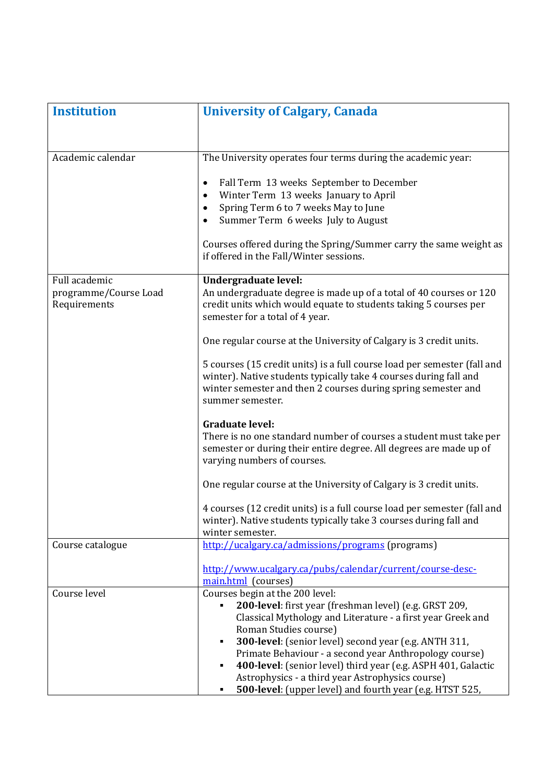| <b>Institution</b>                    | <b>University of Calgary, Canada</b>                                                                                                                                                                                                                                                                                                                                                                                                                                                       |
|---------------------------------------|--------------------------------------------------------------------------------------------------------------------------------------------------------------------------------------------------------------------------------------------------------------------------------------------------------------------------------------------------------------------------------------------------------------------------------------------------------------------------------------------|
|                                       |                                                                                                                                                                                                                                                                                                                                                                                                                                                                                            |
| Academic calendar                     | The University operates four terms during the academic year:                                                                                                                                                                                                                                                                                                                                                                                                                               |
|                                       | Fall Term 13 weeks September to December<br>٠<br>Winter Term 13 weeks January to April<br>$\bullet$<br>Spring Term 6 to 7 weeks May to June<br>$\bullet$<br>Summer Term 6 weeks July to August                                                                                                                                                                                                                                                                                             |
|                                       | Courses offered during the Spring/Summer carry the same weight as<br>if offered in the Fall/Winter sessions.                                                                                                                                                                                                                                                                                                                                                                               |
| Full academic                         | Undergraduate level:                                                                                                                                                                                                                                                                                                                                                                                                                                                                       |
| programme/Course Load<br>Requirements | An undergraduate degree is made up of a total of 40 courses or 120<br>credit units which would equate to students taking 5 courses per<br>semester for a total of 4 year.                                                                                                                                                                                                                                                                                                                  |
|                                       | One regular course at the University of Calgary is 3 credit units.                                                                                                                                                                                                                                                                                                                                                                                                                         |
|                                       | 5 courses (15 credit units) is a full course load per semester (fall and<br>winter). Native students typically take 4 courses during fall and<br>winter semester and then 2 courses during spring semester and<br>summer semester.                                                                                                                                                                                                                                                         |
|                                       | <b>Graduate level:</b><br>There is no one standard number of courses a student must take per<br>semester or during their entire degree. All degrees are made up of<br>varying numbers of courses.                                                                                                                                                                                                                                                                                          |
|                                       | One regular course at the University of Calgary is 3 credit units.                                                                                                                                                                                                                                                                                                                                                                                                                         |
|                                       | 4 courses (12 credit units) is a full course load per semester (fall and<br>winter). Native students typically take 3 courses during fall and<br>winter semester.                                                                                                                                                                                                                                                                                                                          |
| Course catalogue                      | http://ucalgary.ca/admissions/programs (programs)                                                                                                                                                                                                                                                                                                                                                                                                                                          |
|                                       | http://www.ucalgary.ca/pubs/calendar/current/course-desc-<br>main.html (courses)                                                                                                                                                                                                                                                                                                                                                                                                           |
| Course level                          | Courses begin at the 200 level:<br>200-level: first year (freshman level) (e.g. GRST 209,<br>Classical Mythology and Literature - a first year Greek and<br>Roman Studies course)<br>300-level: (senior level) second year (e.g. ANTH 311,<br>Primate Behaviour - a second year Anthropology course)<br>400-level: (senior level) third year (e.g. ASPH 401, Galactic<br>٠<br>Astrophysics - a third year Astrophysics course)<br>500-level: (upper level) and fourth year (e.g. HTST 525, |